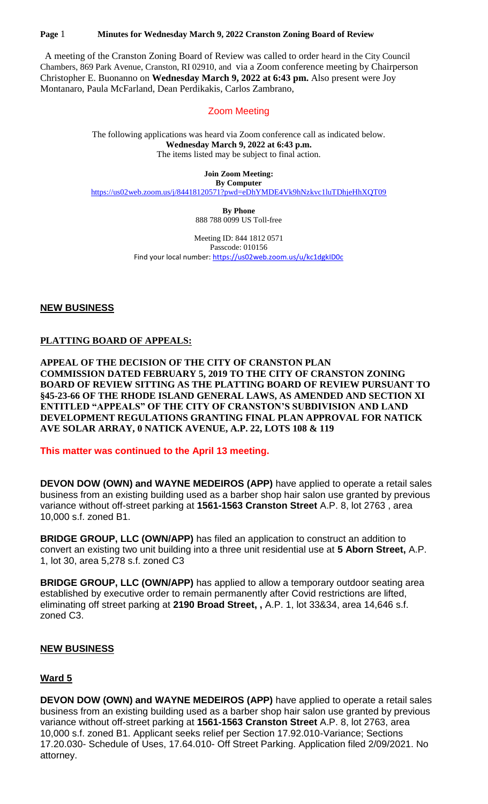#### **Page** 1 **Minutes for Wednesday March 9, 2022 Cranston Zoning Board of Review**

 A meeting of the Cranston Zoning Board of Review was called to order heard in the City Council Chambers, 869 Park Avenue, Cranston, RI 02910, and via a Zoom conference meeting by Chairperson Christopher E. Buonanno on **Wednesday March 9, 2022 at 6:43 pm.** Also present were Joy Montanaro, Paula McFarland, Dean Perdikakis, Carlos Zambrano,

#### Zoom Meeting

The following applications was heard via Zoom conference call as indicated below. **Wednesday March 9, 2022 at 6:43 p.m.** The items listed may be subject to final action.

> **Join Zoom Meeting: By Computer**

<https://us02web.zoom.us/j/84418120571?pwd=eDhYMDE4Vk9hNzkvc1luTDhjeHhXQT09>

**By Phone** 888 788 0099 US Toll-free

Meeting ID: 844 1812 0571 Passcode: 010156 Find your local number:<https://us02web.zoom.us/u/kc1dgkID0c>

**NEW BUSINESS**

# **PLATTING BOARD OF APPEALS:**

**APPEAL OF THE DECISION OF THE CITY OF CRANSTON PLAN COMMISSION DATED FEBRUARY 5, 2019 TO THE CITY OF CRANSTON ZONING BOARD OF REVIEW SITTING AS THE PLATTING BOARD OF REVIEW PURSUANT TO §45-23-66 OF THE RHODE ISLAND GENERAL LAWS, AS AMENDED AND SECTION XI ENTITLED "APPEALS" OF THE CITY OF CRANSTON'S SUBDIVISION AND LAND DEVELOPMENT REGULATIONS GRANTING FINAL PLAN APPROVAL FOR NATICK AVE SOLAR ARRAY, 0 NATICK AVENUE, A.P. 22, LOTS 108 & 119**

**This matter was continued to the April 13 meeting.**

**DEVON DOW (OWN) and WAYNE MEDEIROS (APP)** have applied to operate a retail sales business from an existing building used as a barber shop hair salon use granted by previous variance without off-street parking at **1561-1563 Cranston Street** A.P. 8, lot 2763 , area 10,000 s.f. zoned B1.

**BRIDGE GROUP, LLC (OWN/APP)** has filed an application to construct an addition to convert an existing two unit building into a three unit residential use at **5 Aborn Street,** A.P. 1, lot 30, area 5,278 s.f. zoned C3

**BRIDGE GROUP, LLC (OWN/APP)** has applied to allow a temporary outdoor seating area established by executive order to remain permanently after Covid restrictions are lifted, eliminating off street parking at **2190 Broad Street, ,** A.P. 1, lot 33&34, area 14,646 s.f. zoned C3.

# **NEW BUSINESS**

# **Ward 5**

**DEVON DOW (OWN) and WAYNE MEDEIROS (APP)** have applied to operate a retail sales business from an existing building used as a barber shop hair salon use granted by previous variance without off-street parking at **1561-1563 Cranston Street** A.P. 8, lot 2763, area 10,000 s.f. zoned B1. Applicant seeks relief per Section 17.92.010-Variance; Sections 17.20.030- Schedule of Uses, 17.64.010- Off Street Parking. Application filed 2/09/2021. No attorney.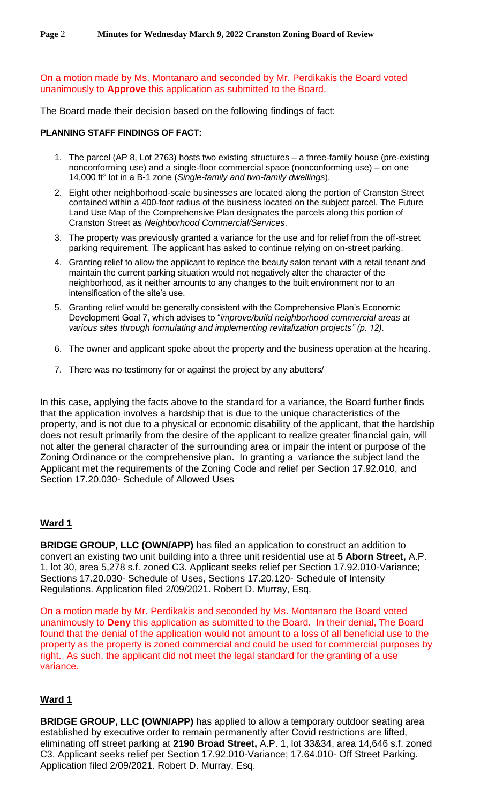On a motion made by Ms. Montanaro and seconded by Mr. Perdikakis the Board voted unanimously to **Approve** this application as submitted to the Board.

The Board made their decision based on the following findings of fact:

#### **PLANNING STAFF FINDINGS OF FACT:**

- 1. The parcel (AP 8, Lot 2763) hosts two existing structures a three-family house (pre-existing nonconforming use) and a single-floor commercial space (nonconforming use) – on one 14,000 ft<sup>2</sup> lot in a B-1 zone (*Single-family and two-family dwellings*).
- 2. Eight other neighborhood-scale businesses are located along the portion of Cranston Street contained within a 400-foot radius of the business located on the subject parcel. The Future Land Use Map of the Comprehensive Plan designates the parcels along this portion of Cranston Street as *Neighborhood Commercial/Services*.
- 3. The property was previously granted a variance for the use and for relief from the off-street parking requirement. The applicant has asked to continue relying on on-street parking.
- 4. Granting relief to allow the applicant to replace the beauty salon tenant with a retail tenant and maintain the current parking situation would not negatively alter the character of the neighborhood, as it neither amounts to any changes to the built environment nor to an intensification of the site's use.
- 5. Granting relief would be generally consistent with the Comprehensive Plan's Economic Development Goal 7, which advises to "*improve/build neighborhood commercial areas at various sites through formulating and implementing revitalization projects" (p. 12)*.
- 6. The owner and applicant spoke about the property and the business operation at the hearing.
- 7. There was no testimony for or against the project by any abutters/

In this case, applying the facts above to the standard for a variance, the Board further finds that the application involves a hardship that is due to the unique characteristics of the property, and is not due to a physical or economic disability of the applicant, that the hardship does not result primarily from the desire of the applicant to realize greater financial gain, will not alter the general character of the surrounding area or impair the intent or purpose of the Zoning Ordinance or the comprehensive plan. In granting a variance the subject land the Applicant met the requirements of the Zoning Code and relief per Section 17.92.010, and Section 17.20.030- Schedule of Allowed Uses

# **Ward 1**

**BRIDGE GROUP, LLC (OWN/APP)** has filed an application to construct an addition to convert an existing two unit building into a three unit residential use at **5 Aborn Street,** A.P. 1, lot 30, area 5,278 s.f. zoned C3. Applicant seeks relief per Section 17.92.010-Variance; Sections 17.20.030- Schedule of Uses, Sections 17.20.120- Schedule of Intensity Regulations. Application filed 2/09/2021. Robert D. Murray, Esq.

On a motion made by Mr. Perdikakis and seconded by Ms. Montanaro the Board voted unanimously to **Deny** this application as submitted to the Board. In their denial, The Board found that the denial of the application would not amount to a loss of all beneficial use to the property as the property is zoned commercial and could be used for commercial purposes by right. As such, the applicant did not meet the legal standard for the granting of a use variance.

# **Ward 1**

**BRIDGE GROUP, LLC (OWN/APP)** has applied to allow a temporary outdoor seating area established by executive order to remain permanently after Covid restrictions are lifted, eliminating off street parking at **2190 Broad Street,** A.P. 1, lot 33&34, area 14,646 s.f. zoned C3. Applicant seeks relief per Section 17.92.010-Variance; 17.64.010- Off Street Parking. Application filed 2/09/2021. Robert D. Murray, Esq.